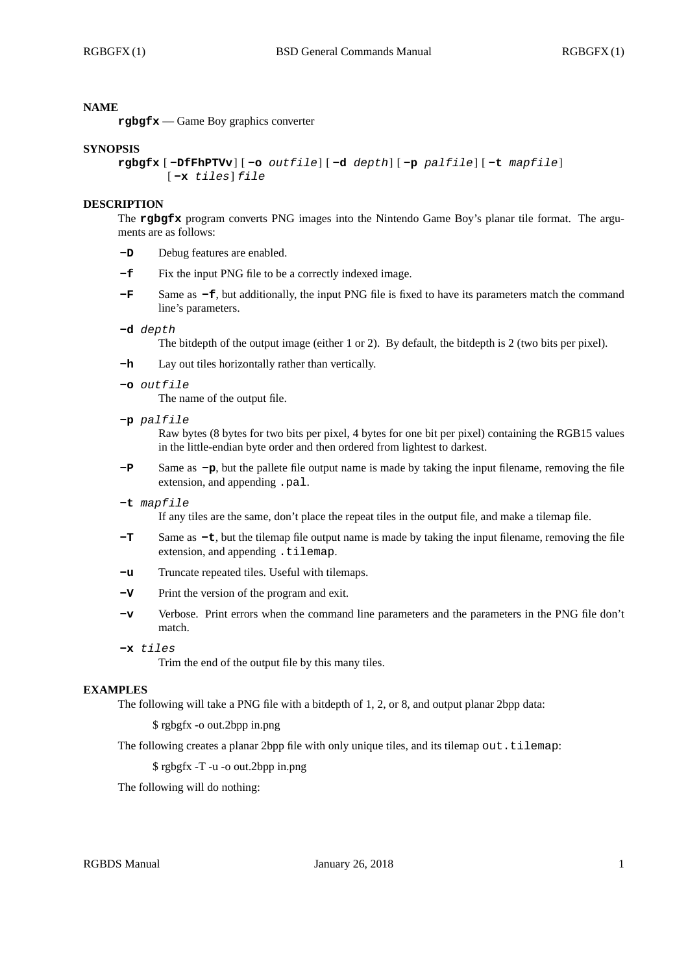## **NAME**

**rgbgfx** — Game Boy graphics converter

#### **SYNOPSIS**

```
rgbgfx [ -DfFhPTVv] [ -o outfile] [ -d depth] [ -p palfile] [ -t mapfile]
[ -x tiles] file
```
### **DESCRIPTION**

The **rgbgfx** program converts PNG images into the Nintendo Game Boy's planar tile format. The arguments are as follows:

- **-D** Debug features are enabled.
- **-f** Fix the input PNG file to be a correctly indexed image.
- **-F** Same as **-f**, but additionally, the input PNG file is fixed to have its parameters match the command line's parameters.

#### **-d** *depth*

The bitdepth of the output image (either 1 or 2). By default, the bitdepth is 2 (two bits per pixel).

- **-h** Lay out tiles horizontally rather than vertically.
- **-o** *outfile*

The name of the output file.

**-p** *palfile*

Raw bytes (8 bytes for two bits per pixel, 4 bytes for one bit per pixel) containing the RGB15 values in the little-endian byte order and then ordered from lightest to darkest.

**-P** Same as **-p**, but the pallete file output name is made by taking the input filename, removing the file extension, and appending .pal.

#### **-t** *mapfile*

If any tiles are the same, don't place the repeat tiles in the output file, and make a tilemap file.

- **-T** Same as **-t**, but the tilemap file output name is made by taking the input filename, removing the file extension, and appending .tilemap.
- **-u** Truncate repeated tiles. Useful with tilemaps.
- **-V** Print the version of the program and exit.
- **-v** Verbose. Print errors when the command line parameters and the parameters in the PNG file don't match.
- **-x** *tiles*

Trim the end of the output file by this many tiles.

## **EXAMPLES**

The following will take a PNG file with a bitdepth of 1, 2, or 8, and output planar 2bpp data:

\$ rgbgfx -o out.2bpp in.png

The following creates a planar 2bpp file with only unique tiles, and its tilemap out.tilemap:

\$ rgbgfx -T -u -o out.2bpp in.png

The following will do nothing: